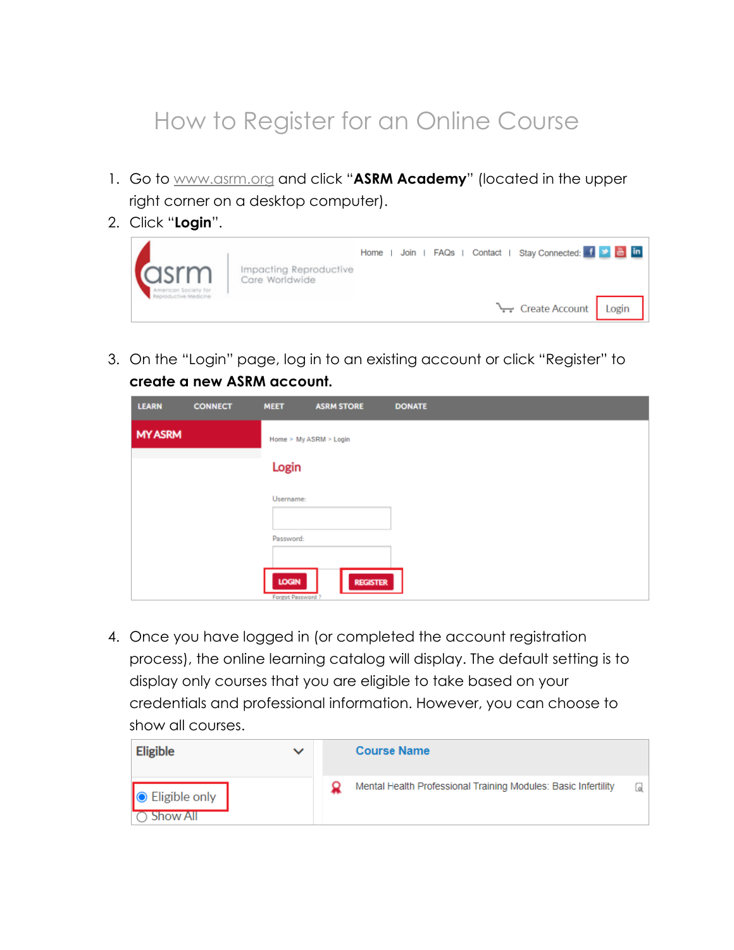## How to Register for an Online Course

- 1. Go to [www.asrm.org](https://www.asrm.org/?vs=1) and click "**ASRM Academy**" (located in the upper right corner on a desktop computer).
- 2. Click "**Login**".



3. On the "Login" page, log in to an existing account or click "Register" to **create a new ASRM account.**

| <b>LEARN</b>   | <b>CONNECT</b> | <b>MEET</b>               | <b>ASRM STORE</b>      | <b>DONATE</b> |
|----------------|----------------|---------------------------|------------------------|---------------|
| <b>MY ASRM</b> |                |                           | Home > My ASRM > Login |               |
|                |                | Login                     |                        |               |
|                |                | Username:                 |                        |               |
|                |                | Password:                 |                        |               |
|                |                |                           |                        |               |
|                |                | LOGIN<br>Forgot Password? | <b>REGISTER</b>        |               |

4. Once you have logged in (or completed the account registration process), the online learning catalog will display. The default setting is to display only courses that you are eligible to take based on your credentials and professional information. However, you can choose to show all courses.

| <b>Eligible</b>               | $\checkmark$ | <b>Course Name</b>                                             |     |
|-------------------------------|--------------|----------------------------------------------------------------|-----|
| ● Eligible only<br>◯ Show All |              | Mental Health Professional Training Modules: Basic Infertility | Q.I |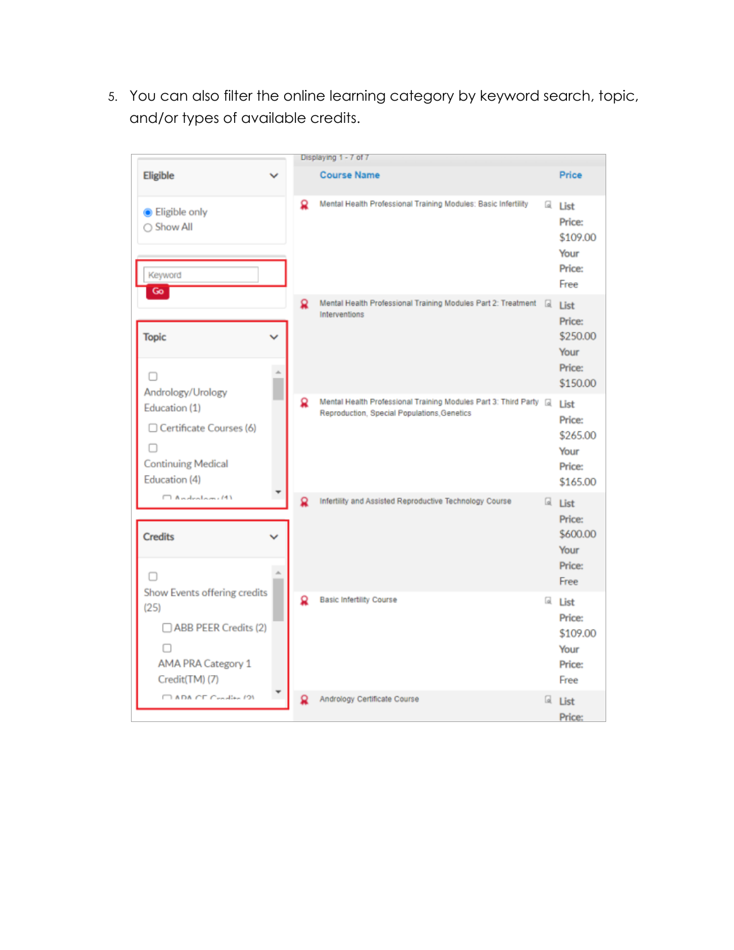5. You can also filter the online learning category by keyword search, topic, and/or types of available credits.

|                                                                                                             |              |   | Displaying 1 - 7 of 7                                                                                                 |                                                            |
|-------------------------------------------------------------------------------------------------------------|--------------|---|-----------------------------------------------------------------------------------------------------------------------|------------------------------------------------------------|
| Eligible                                                                                                    | $\checkmark$ |   | <b>Course Name</b>                                                                                                    | Price                                                      |
| <b>Eligible only</b><br>○ Show All<br>Keyword<br>Go                                                         |              | Ω | Mental Health Professional Training Modules: Basic Infertility                                                        | a List<br>Price:<br>\$109.00<br>Your<br>Price:<br>Free     |
| <b>Topic</b><br>Andrology/Urology                                                                           |              | Ω | Mental Health Professional Training Modules Part 2: Treatment<br>Interventions                                        | a List<br>Price:<br>\$250.00<br>Your<br>Price:<br>\$150.00 |
| Education (1)<br>Certificate Courses (6)<br><b>Continuing Medical</b><br>Education (4)                      |              | Ω | Mental Health Professional Training Modules Part 3: Third Party & List<br>Reproduction, Special Populations, Genetics | Price:<br>\$265.00<br>Your<br>Price:<br>\$165.00           |
| $\Box$ Andralami $\overline{M}$<br><b>Credits</b>                                                           |              |   | Infertility and Assisted Reproductive Technology Course                                                               | a List<br>Price:<br>\$600.00<br>Your<br>Price:<br>Free     |
| Show Events offering credits<br>(25)<br>ABB PEER Credits (2)<br><b>AMA PRA Category 1</b><br>Credit(TM) (7) |              | Ω | <b>Basic Infertility Course</b>                                                                                       | a List<br>Price:<br>\$109.00<br>Your<br>Price:<br>Free     |
| CLADA CE Condita (9)                                                                                        |              |   | Andrology Certificate Course                                                                                          | a List<br>Price:                                           |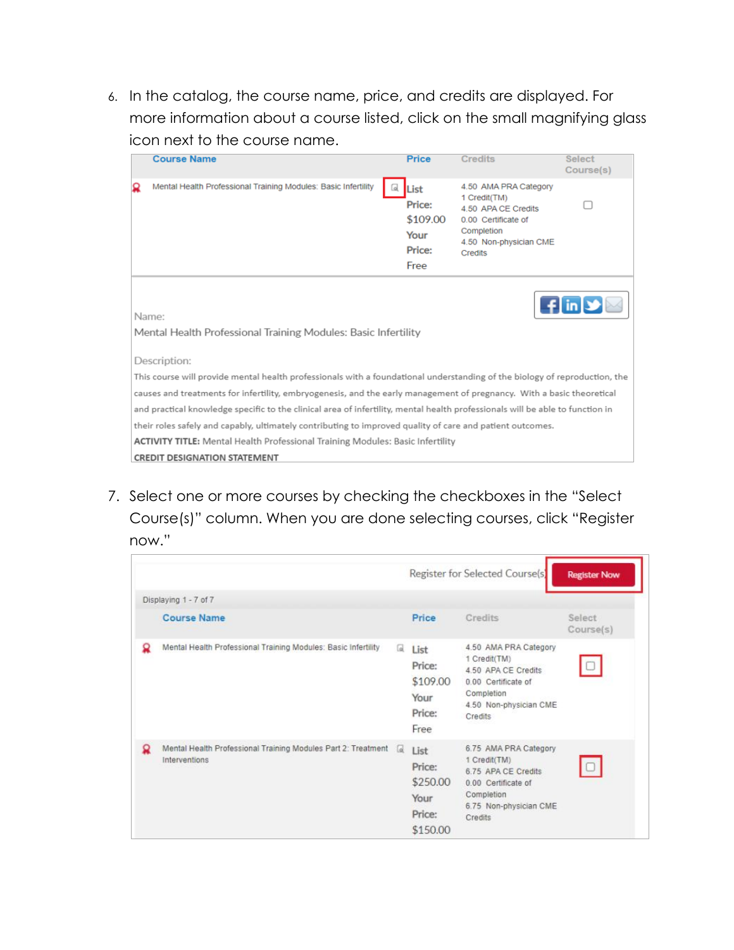6. In the catalog, the course name, price, and credits are displayed. For more information about a course listed, click on the small magnifying glass icon next to the course name.

|   | <b>Course Name</b>                                                                                                            | <b>Price</b>                                                 | <b>Credits</b>                                                                                                                         | <b>Select</b><br>Course(s)   |
|---|-------------------------------------------------------------------------------------------------------------------------------|--------------------------------------------------------------|----------------------------------------------------------------------------------------------------------------------------------------|------------------------------|
| Ω | Mental Health Professional Training Modules: Basic Infertility                                                                | List<br>Lol.<br>Price:<br>\$109.00<br>Your<br>Price:<br>Free | 4.50 AMA PRA Category<br>1 Credit(TM)<br>4.50 APA CE Credits<br>0.00 Certificate of<br>Completion<br>4.50 Non-physician CME<br>Credits |                              |
|   | Name:<br>Mental Health Professional Training Modules: Basic Infertility                                                       |                                                              |                                                                                                                                        | $\mathbf{f}$ in $\mathbf{v}$ |
|   | Description:                                                                                                                  |                                                              |                                                                                                                                        |                              |
|   | This course will provide mental health professionals with a foundational understanding of the biology of reproduction, the    |                                                              |                                                                                                                                        |                              |
|   | causes and treatments for infertility, embryogenesis, and the early management of pregnancy. With a basic theoretical         |                                                              |                                                                                                                                        |                              |
|   | and practical knowledge specific to the clinical area of infertility, mental health professionals will be able to function in |                                                              |                                                                                                                                        |                              |
|   | their roles safely and capably, ultimately contributing to improved quality of care and patient outcomes.                     |                                                              |                                                                                                                                        |                              |
|   | <b>ACTIVITY TITLE:</b> Mental Health Professional Training Modules: Basic Infertility                                         |                                                              |                                                                                                                                        |                              |
|   | <b>CREDIT DESIGNATION STATEMENT</b>                                                                                           |                                                              |                                                                                                                                        |                              |

7. Select one or more courses by checking the checkboxes in the "Select Course(s)" column. When you are done selecting courses, click "Register now."

|   |                                                                                |          |                                                          | Register for Selected Course(s)                                                                                                        | <b>Register Now</b> |
|---|--------------------------------------------------------------------------------|----------|----------------------------------------------------------|----------------------------------------------------------------------------------------------------------------------------------------|---------------------|
|   | Displaying 1 - 7 of 7                                                          |          |                                                          |                                                                                                                                        |                     |
|   | <b>Course Name</b>                                                             |          | Price                                                    | <b>Credits</b>                                                                                                                         | Select<br>Course(s) |
| Ω | Mental Health Professional Training Modules: Basic Infertility                 | Q.       | List<br>Price:<br>\$109.00<br>Your<br>Price:<br>Free     | 4.50 AMA PRA Category<br>1 Credit(TM)<br>4.50 APA CE Credits<br>0.00 Certificate of<br>Completion<br>4.50 Non-physician CME<br>Credits |                     |
| Ω | Mental Health Professional Training Modules Part 2: Treatment<br>Interventions | $\alpha$ | List<br>Price:<br>\$250.00<br>Your<br>Price:<br>\$150.00 | 6.75 AMA PRA Category<br>1 Credit(TM)<br>6.75 APA CF Credits<br>0.00 Certificate of<br>Completion<br>6.75 Non-physician CME<br>Credits |                     |